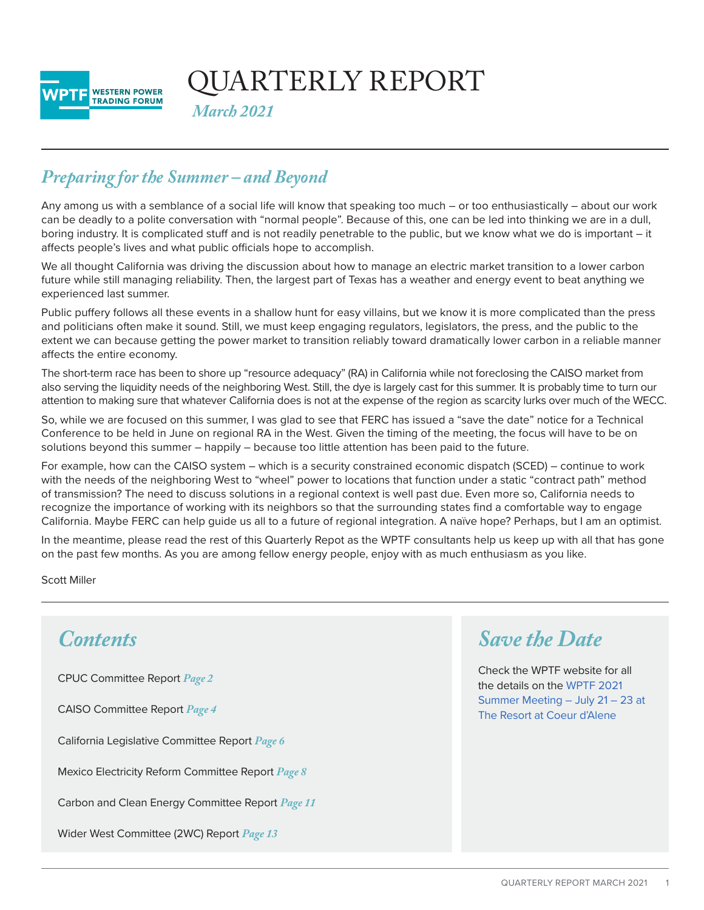

QUARTERLY REPORT

*March 2021*

# *Preparing for the Summer – and Beyond*

Any among us with a semblance of a social life will know that speaking too much – or too enthusiastically – about our work can be deadly to a polite conversation with "normal people". Because of this, one can be led into thinking we are in a dull, boring industry. It is complicated stuff and is not readily penetrable to the public, but we know what we do is important – it affects people's lives and what public officials hope to accomplish.

We all thought California was driving the discussion about how to manage an electric market transition to a lower carbon future while still managing reliability. Then, the largest part of Texas has a weather and energy event to beat anything we experienced last summer.

Public puffery follows all these events in a shallow hunt for easy villains, but we know it is more complicated than the press and politicians often make it sound. Still, we must keep engaging regulators, legislators, the press, and the public to the extent we can because getting the power market to transition reliably toward dramatically lower carbon in a reliable manner affects the entire economy.

The short-term race has been to shore up "resource adequacy" (RA) in California while not foreclosing the CAISO market from also serving the liquidity needs of the neighboring West. Still, the dye is largely cast for this summer. It is probably time to turn our attention to making sure that whatever California does is not at the expense of the region as scarcity lurks over much of the WECC.

So, while we are focused on this summer, I was glad to see that FERC has issued a "save the date" notice for a Technical Conference to be held in June on regional RA in the West. Given the timing of the meeting, the focus will have to be on solutions beyond this summer – happily – because too little attention has been paid to the future.

For example, how can the CAISO system – which is a security constrained economic dispatch (SCED) – continue to work with the needs of the neighboring West to "wheel" power to locations that function under a static "contract path" method of transmission? The need to discuss solutions in a regional context is well past due. Even more so, California needs to recognize the importance of working with its neighbors so that the surrounding states find a comfortable way to engage California. Maybe FERC can help guide us all to a future of regional integration. A naïve hope? Perhaps, but I am an optimist.

In the meantime, please read the rest of this Quarterly Repot as the WPTF consultants help us keep up with all that has gone on the past few months. As you are among fellow energy people, enjoy with as much enthusiasm as you like.

Scott Miller

# *Contents*

CPUC Committee Report *[Page](#page-1-0) 2*

CAISO Committee Report *[Page](#page-3-0) 4*

California Legislative Committee Report *[Page 6](#page-5-0)*

Mexico Electricity Reform Committee Report *[Page 8](#page-7-0)*

Carbon and Clean Energy Committee Report *[Page 11](#page-10-0)*

Wider West Committee (2WC) Report *[Page 1](#page-12-0)3*

# *Save the Date*

Check the WPTF website for all the details on the [WPTF 2021](https://www.wptf.org/summer-meeting)  [Summer Meeting – July 21 – 23 at](https://www.wptf.org/summer-meeting)  [The Resort at Coeur d'Alene](https://www.wptf.org/summer-meeting)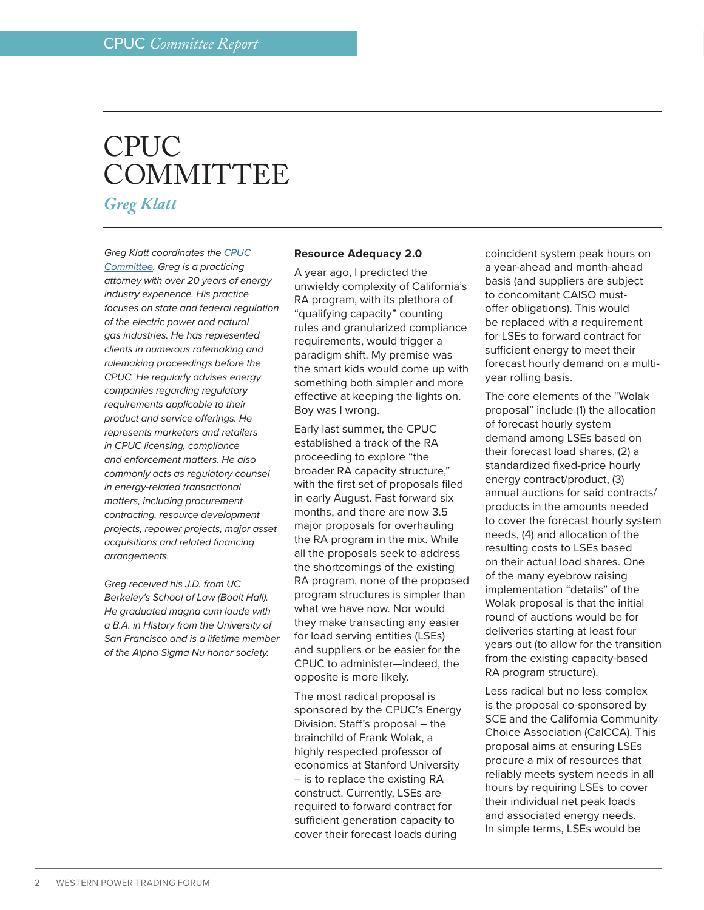# <span id="page-1-0"></span>CPUC **COMMITTEE**

*Greg Klatt*

*Greg Klatt coordinates the CPU[C](https://www.wptf.org/resource-adequacy-ra) [Committee](https://www.wptf.org/resource-adequacy-ra). Greg is a practicing attorney with over 20 years of energy industry experience. His practice focuses on state and federal regulation of the electric power and natural gas industries. He has represented clients in numerous ratemaking and rulemaking proceedings before the CPUC. He regularly advises energy companies regarding regulatory requirements applicable to their product and service offerings. He represents marketers and retailers in CPUC licensing, compliance and enforcement matters. He also commonly acts as regulatory counsel in energy-related transactional matters, including procurement contracting, resource development projects, repower projects, major asset acquisitions and related financing arrangements.*

*Greg received his J.D. from UC Berkeley's School of Law (Boalt Hall). He graduated magna cum laude with a B.A. in History from the University of San Francisco and is a lifetime member of the Alpha Sigma Nu honor society.*

### **Resource Adequacy 2.0**

A year ago, I predicted the unwieldy complexity of California's RA program, with its plethora of "qualifying capacity" counting rules and granularized compliance requirements, would trigger a paradigm shift. My premise was the smart kids would come up with something both simpler and more effective at keeping the lights on. Boy was I wrong.

Early last summer, the CPUC established a track of the RA proceeding to explore "the broader RA capacity structure," with the first set of proposals filed in early August. Fast forward six months, and there are now 3.5 major proposals for overhauling the RA program in the mix. While all the proposals seek to address the shortcomings of the existing RA program, none of the proposed program structures is simpler than what we have now. Nor would they make transacting any easier for load serving entities (LSEs) and suppliers or be easier for the CPUC to administer—indeed, the opposite is more likely.

The most radical proposal is sponsored by the CPUC's Energy Division. Staff's proposal – the brainchild of Frank Wolak, a highly respected professor of economics at Stanford University – is to replace the existing RA construct. Currently, LSEs are required to forward contract for sufficient generation capacity to cover their forecast loads during

coincident system peak hours on a year-ahead and month-ahead basis (and suppliers are subject to concomitant CAISO mustoffer obligations). This would be replaced with a requirement for LSEs to forward contract for sufficient energy to meet their forecast hourly demand on a multiyear rolling basis.

The core elements of the "Wolak proposal" include (1) the allocation of forecast hourly system demand among LSEs based on their forecast load shares, (2) a standardized fixed-price hourly energy contract/product, (3) annual auctions for said contracts/ products in the amounts needed to cover the forecast hourly system needs, (4) and allocation of the resulting costs to LSEs based on their actual load shares. One of the many eyebrow raising implementation "details" of the Wolak proposal is that the initial round of auctions would be for deliveries starting at least four years out (to allow for the transition from the existing capacity-based RA program structure).

Less radical but no less complex is the proposal co-sponsored by SCE and the California Community Choice Association (CalCCA). This proposal aims at ensuring LSEs procure a mix of resources that reliably meets system needs in all hours by requiring LSEs to cover their individual net peak loads and associated energy needs. In simple terms, LSEs would be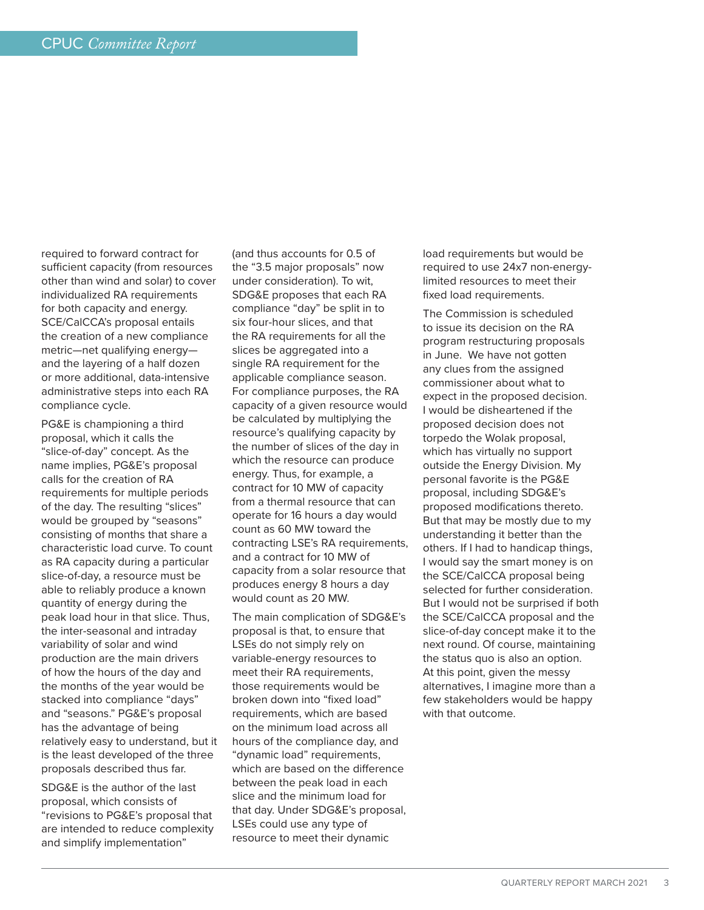required to forward contract for sufficient capacity (from resources other than wind and solar) to cover individualized RA requirements for both capacity and energy. SCE/CalCCA's proposal entails the creation of a new compliance metric—net qualifying energy and the layering of a half dozen or more additional, data-intensive administrative steps into each RA compliance cycle.

PG&E is championing a third proposal, which it calls the "slice-of-day" concept. As the name implies, PG&E's proposal calls for the creation of RA requirements for multiple periods of the day. The resulting "slices" would be grouped by "seasons" consisting of months that share a characteristic load curve. To count as RA capacity during a particular slice-of-day, a resource must be able to reliably produce a known quantity of energy during the peak load hour in that slice. Thus, the inter-seasonal and intraday variability of solar and wind production are the main drivers of how the hours of the day and the months of the year would be stacked into compliance "days" and "seasons." PG&E's proposal has the advantage of being relatively easy to understand, but it is the least developed of the three proposals described thus far.

SDG&E is the author of the last proposal, which consists of "revisions to PG&E's proposal that are intended to reduce complexity and simplify implementation"

(and thus accounts for 0.5 of the "3.5 major proposals" now under consideration). To wit, SDG&E proposes that each RA compliance "day" be split in to six four-hour slices, and that the RA requirements for all the slices be aggregated into a single RA requirement for the applicable compliance season. For compliance purposes, the RA capacity of a given resource would be calculated by multiplying the resource's qualifying capacity by the number of slices of the day in which the resource can produce energy. Thus, for example, a contract for 10 MW of capacity from a thermal resource that can operate for 16 hours a day would count as 60 MW toward the contracting LSE's RA requirements, and a contract for 10 MW of capacity from a solar resource that produces energy 8 hours a day would count as 20 MW.

The main complication of SDG&E's proposal is that, to ensure that LSEs do not simply rely on variable-energy resources to meet their RA requirements, those requirements would be broken down into "fixed load" requirements, which are based on the minimum load across all hours of the compliance day, and "dynamic load" requirements, which are based on the difference between the peak load in each slice and the minimum load for that day. Under SDG&E's proposal, LSEs could use any type of resource to meet their dynamic

load requirements but would be required to use 24x7 non-energylimited resources to meet their fixed load requirements.

The Commission is scheduled to issue its decision on the RA program restructuring proposals in June. We have not gotten any clues from the assigned commissioner about what to expect in the proposed decision. I would be disheartened if the proposed decision does not torpedo the Wolak proposal, which has virtually no support outside the Energy Division. My personal favorite is the PG&E proposal, including SDG&E's proposed modifications thereto. But that may be mostly due to my understanding it better than the others. If I had to handicap things, I would say the smart money is on the SCE/CalCCA proposal being selected for further consideration. But I would not be surprised if both the SCE/CalCCA proposal and the slice-of-day concept make it to the next round. Of course, maintaining the status quo is also an option. At this point, given the messy alternatives, I imagine more than a few stakeholders would be happy with that outcome.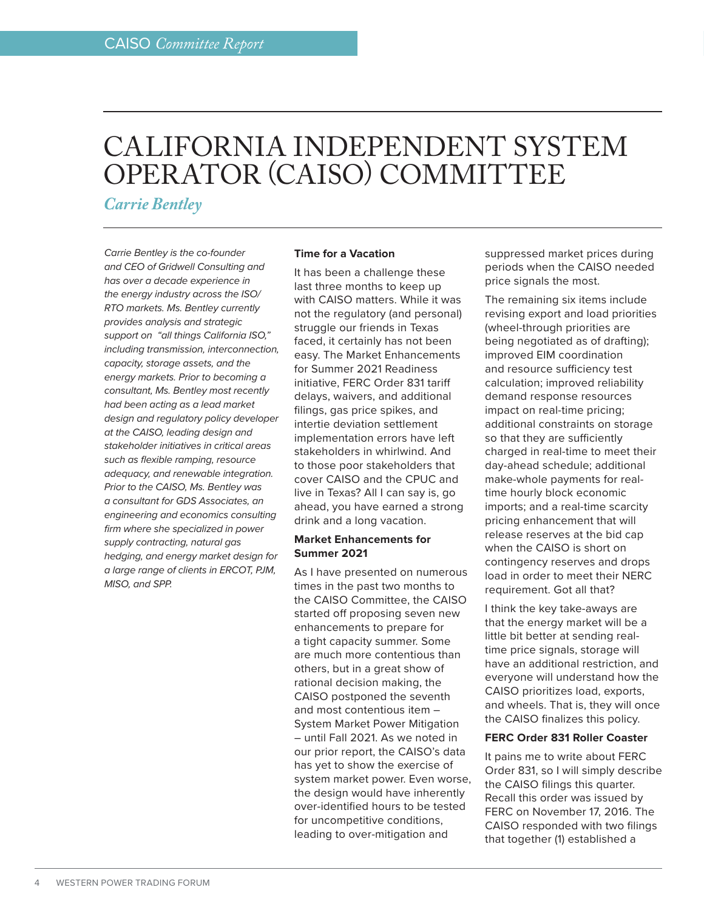# <span id="page-3-0"></span>CALIFORNIA INDEPENDENT SYSTEM OPERATOR (CAISO) COMMITTEE

*Carrie Bentley*

*Carrie Bentley is the co-founder and CEO of Gridwell Consulting and has over a decade experience in the energy industry across the ISO/ RTO markets. Ms. Bentley currently provides analysis and strategic support on "all things California ISO," including transmission, interconnection, capacity, storage assets, and the energy markets. Prior to becoming a consultant, Ms. Bentley most recently had been acting as a lead market design and regulatory policy developer at the CAISO, leading design and stakeholder initiatives in critical areas such as flexible ramping, resource adequacy, and renewable integration. Prior to the CAISO, Ms. Bentley was a consultant for GDS Associates, an engineering and economics consulting firm where she specialized in power supply contracting, natural gas hedging, and energy market design for a large range of clients in ERCOT, PJM, MISO, and SPP.*

# **Time for a Vacation**

It has been a challenge these last three months to keep up with CAISO matters. While it was not the regulatory (and personal) struggle our friends in Texas faced, it certainly has not been easy. The Market Enhancements for Summer 2021 Readiness initiative, FERC Order 831 tariff delays, waivers, and additional filings, gas price spikes, and intertie deviation settlement implementation errors have left stakeholders in whirlwind. And to those poor stakeholders that cover CAISO and the CPUC and live in Texas? All I can say is, go ahead, you have earned a strong drink and a long vacation.

# **Market Enhancements for Summer 2021**

As I have presented on numerous times in the past two months to the CAISO Committee, the CAISO started off proposing seven new enhancements to prepare for a tight capacity summer. Some are much more contentious than others, but in a great show of rational decision making, the CAISO postponed the seventh and most contentious item – System Market Power Mitigation – until Fall 2021. As we noted in our prior report, the CAISO's data has yet to show the exercise of system market power. Even worse, the design would have inherently over-identified hours to be tested for uncompetitive conditions, leading to over-mitigation and

suppressed market prices during periods when the CAISO needed price signals the most.

The remaining six items include revising export and load priorities (wheel-through priorities are being negotiated as of drafting); improved EIM coordination and resource sufficiency test calculation; improved reliability demand response resources impact on real-time pricing; additional constraints on storage so that they are sufficiently charged in real-time to meet their day-ahead schedule; additional make-whole payments for realtime hourly block economic imports; and a real-time scarcity pricing enhancement that will release reserves at the bid cap when the CAISO is short on contingency reserves and drops load in order to meet their NERC requirement. Got all that?

I think the key take-aways are that the energy market will be a little bit better at sending realtime price signals, storage will have an additional restriction, and everyone will understand how the CAISO prioritizes load, exports, and wheels. That is, they will once the CAISO finalizes this policy.

# **FERC Order 831 Roller Coaster**

It pains me to write about FERC Order 831, so I will simply describe the CAISO filings this quarter. Recall this order was issued by FERC on November 17, 2016. The CAISO responded with two filings that together (1) established a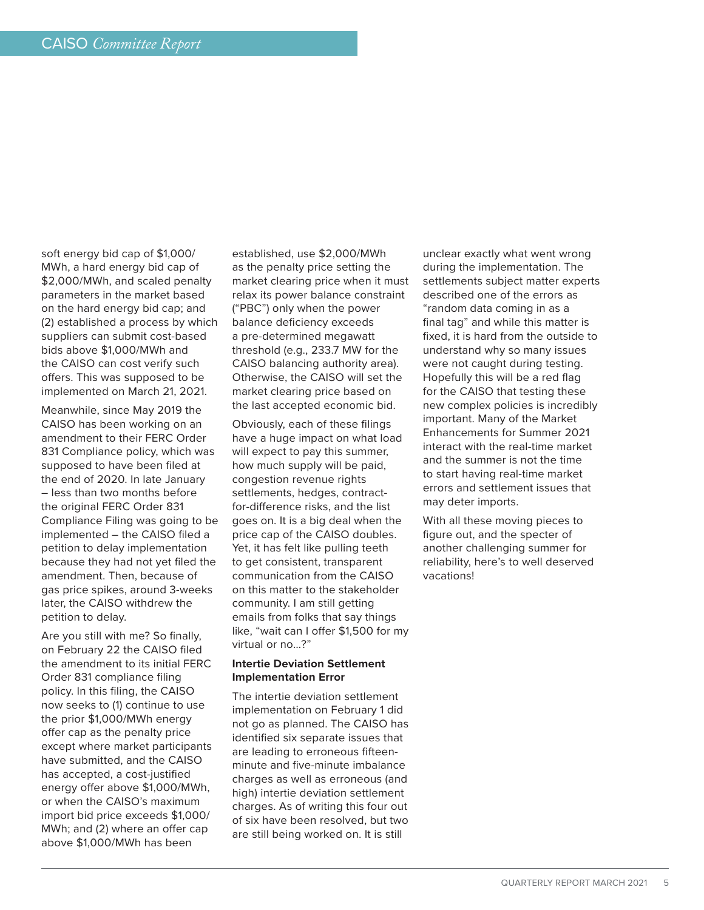soft energy bid cap of \$1,000/ MWh, a hard energy bid cap of \$2,000/MWh, and scaled penalty parameters in the market based on the hard energy bid cap; and (2) established a process by which suppliers can submit cost-based bids above \$1,000/MWh and the CAISO can cost verify such offers. This was supposed to be implemented on March 21, 2021.

Meanwhile, since May 2019 the CAISO has been working on an amendment to their FERC Order 831 Compliance policy, which was supposed to have been filed at the end of 2020. In late January – less than two months before the original FERC Order 831 Compliance Filing was going to be implemented – the CAISO filed a petition to delay implementation because they had not yet filed the amendment. Then, because of gas price spikes, around 3-weeks later, the CAISO withdrew the petition to delay.

Are you still with me? So finally, on February 22 the CAISO filed the amendment to its initial FERC Order 831 compliance filing policy. In this filing, the CAISO now seeks to (1) continue to use the prior \$1,000/MWh energy offer cap as the penalty price except where market participants have submitted, and the CAISO has accepted, a cost-justified energy offer above \$1,000/MWh, or when the CAISO's maximum import bid price exceeds \$1,000/ MWh; and (2) where an offer cap above \$1,000/MWh has been

established, use \$2,000/MWh as the penalty price setting the market clearing price when it must relax its power balance constraint ("PBC") only when the power balance deficiency exceeds a pre-determined megawatt threshold (e.g., 233.7 MW for the CAISO balancing authority area). Otherwise, the CAISO will set the market clearing price based on the last accepted economic bid.

Obviously, each of these filings have a huge impact on what load will expect to pay this summer, how much supply will be paid, congestion revenue rights settlements, hedges, contractfor-difference risks, and the list goes on. It is a big deal when the price cap of the CAISO doubles. Yet, it has felt like pulling teeth to get consistent, transparent communication from the CAISO on this matter to the stakeholder community. I am still getting emails from folks that say things like, "wait can I offer \$1,500 for my virtual or no…?"

### **Intertie Deviation Settlement Implementation Error**

The intertie deviation settlement implementation on February 1 did not go as planned. The CAISO has identified six separate issues that are leading to erroneous fifteenminute and five-minute imbalance charges as well as erroneous (and high) intertie deviation settlement charges. As of writing this four out of six have been resolved, but two are still being worked on. It is still

unclear exactly what went wrong during the implementation. The settlements subject matter experts described one of the errors as "random data coming in as a final tag" and while this matter is fixed, it is hard from the outside to understand why so many issues were not caught during testing. Hopefully this will be a red flag for the CAISO that testing these new complex policies is incredibly important. Many of the Market Enhancements for Summer 2021 interact with the real-time market and the summer is not the time to start having real-time market errors and settlement issues that may deter imports.

With all these moving pieces to figure out, and the specter of another challenging summer for reliability, here's to well deserved vacations!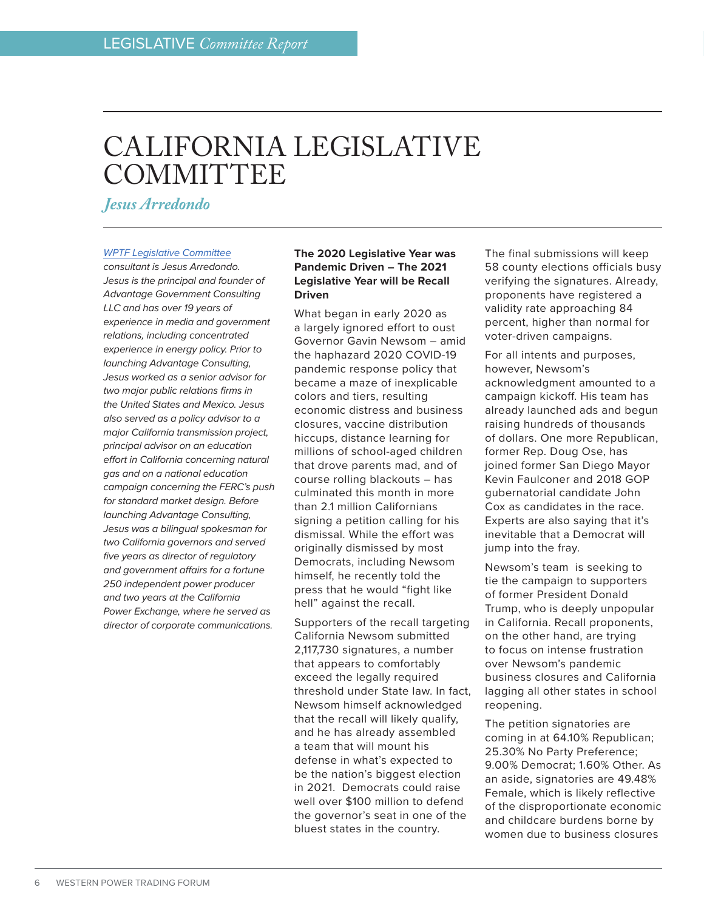# <span id="page-5-0"></span>CALIFORNIA LEGISLATIVE **COMMITTEE**

*Jesus Arredondo*

#### *[WPTF Legislative Committee](http://www.wptf.org/legislation)*

*consultant is Jesus Arredondo. Jesus is the principal and founder of Advantage Government Consulting LLC and has over 19 years of experience in media and government relations, including concentrated experience in energy policy. Prior to launching Advantage Consulting, Jesus worked as a senior advisor for two major public relations firms in the United States and Mexico. Jesus also served as a policy advisor to a major California transmission project, principal advisor on an education effort in California concerning natural gas and on a national education campaign concerning the FERC's push for standard market design. Before launching Advantage Consulting, Jesus was a bilingual spokesman for two California governors and served five years as director of regulatory and government affairs for a fortune 250 independent power producer and two years at the California Power Exchange, where he served as director of corporate communications.*

### **The 2020 Legislative Year was Pandemic Driven – The 2021 Legislative Year will be Recall Driven**

What began in early 2020 as a largely ignored effort to oust Governor Gavin Newsom – amid the haphazard 2020 COVID-19 pandemic response policy that became a maze of inexplicable colors and tiers, resulting economic distress and business closures, vaccine distribution hiccups, distance learning for millions of school-aged children that drove parents mad, and of course rolling blackouts – has culminated this month in more than 2.1 million Californians signing a petition calling for his dismissal. While the effort was originally dismissed by most Democrats, including Newsom himself, he recently told the press that he would "fight like hell" against the recall.

Supporters of the recall targeting California Newsom submitted 2,117,730 signatures, a number that appears to comfortably exceed the legally required threshold under State law. In fact, Newsom himself acknowledged that the recall will likely qualify, and he has already assembled a team that will mount his defense in what's expected to be the nation's biggest election in 2021. Democrats could raise well over \$100 million to defend the governor's seat in one of the bluest states in the country.

The final submissions will keep 58 county elections officials busy verifying the signatures. Already, proponents have registered a validity rate approaching 84 percent, higher than normal for voter-driven campaigns.

For all intents and purposes, however, Newsom's acknowledgment amounted to a campaign kickoff. His team has already launched ads and begun raising hundreds of thousands of dollars. One more Republican, former Rep. Doug Ose, has joined former San Diego Mayor Kevin Faulconer and 2018 GOP gubernatorial candidate John Cox as candidates in the race. Experts are also saying that it's inevitable that a Democrat will jump into the fray.

Newsom's team is seeking to tie the campaign to supporters of former President Donald Trump, who is deeply unpopular in California. Recall proponents, on the other hand, are trying to focus on intense frustration over Newsom's pandemic business closures and California lagging all other states in school reopening.

The petition signatories are coming in at 64.10% Republican; 25.30% No Party Preference; 9.00% Democrat; 1.60% Other. As an aside, signatories are 49.48% Female, which is likely reflective of the disproportionate economic and childcare burdens borne by women due to business closures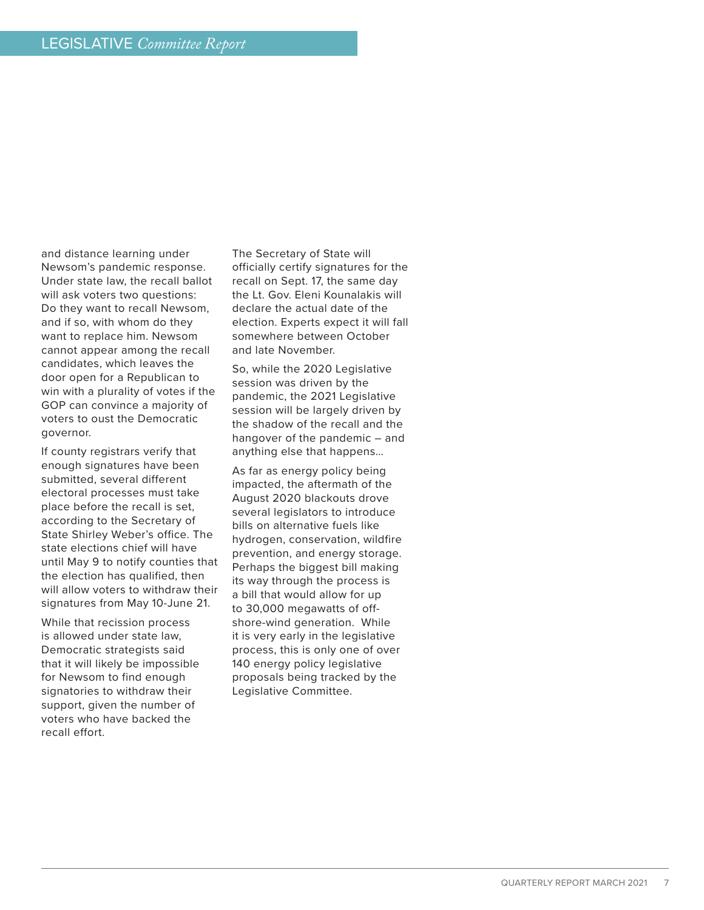and distance learning under Newsom's pandemic response. Under state law, the recall ballot will ask voters two questions: Do they want to recall Newsom, and if so, with whom do they want to replace him. Newsom cannot appear among the recall candidates, which leaves the door open for a Republican to win with a plurality of votes if the GOP can convince a majority of voters to oust the Democratic governor.

If county registrars verify that enough signatures have been submitted, several different electoral processes must take place before the recall is set, according to the Secretary of State Shirley Weber's office. The state elections chief will have until May 9 to notify counties that the election has qualified, then will allow voters to withdraw their signatures from May 10-June 21.

While that recission process is allowed under state law, Democratic strategists said that it will likely be impossible for Newsom to find enough signatories to withdraw their support, given the number of voters who have backed the recall effort.

The Secretary of State will officially certify signatures for the recall on Sept. 17, the same day the Lt. Gov. Eleni Kounalakis will declare the actual date of the election. Experts expect it will fall somewhere between October and late November.

So, while the 2020 Legislative session was driven by the pandemic, the 2021 Legislative session will be largely driven by the shadow of the recall and the hangover of the pandemic – and anything else that happens…

As far as energy policy being impacted, the aftermath of the August 2020 blackouts drove several legislators to introduce bills on alternative fuels like hydrogen, conservation, wildfire prevention, and energy storage. Perhaps the biggest bill making its way through the process is a bill that would allow for up to 30,000 megawatts of offshore-wind generation. While it is very early in the legislative process, this is only one of over 140 energy policy legislative proposals being tracked by the Legislative Committee.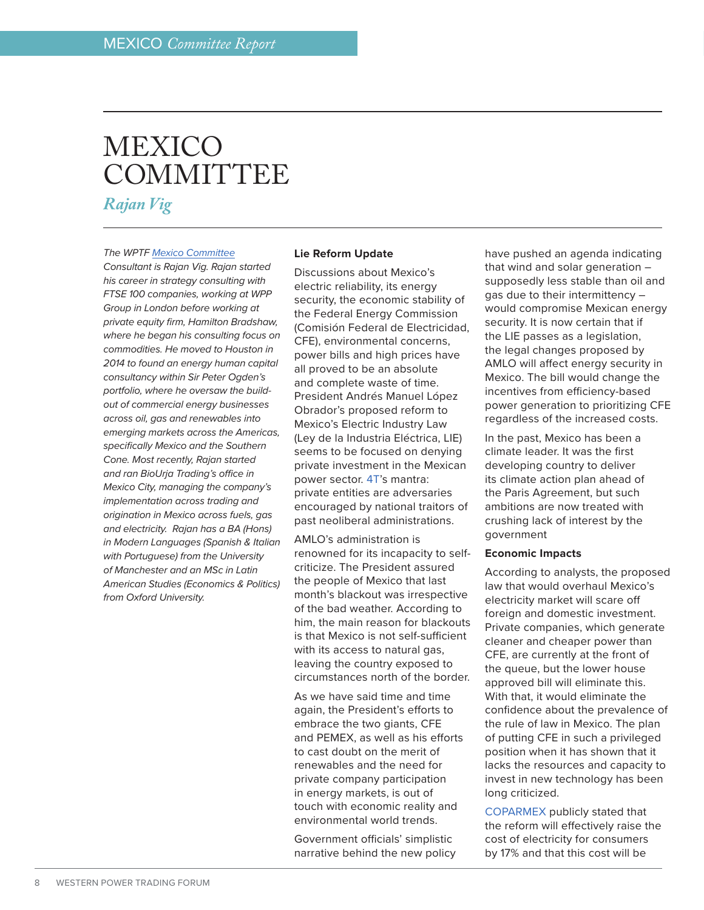# <span id="page-7-0"></span>MEXICO **COMMITTEE**

*Rajan Vig*

### *The WPTF [Mexico Committee](https://www.wptf.org/mexico)*

*Consultant is Rajan Vig. Rajan started his career in strategy consulting with FTSE 100 companies, working at WPP Group in London before working at private equity firm, Hamilton Bradshaw, where he began his consulting focus on commodities. He moved to Houston in 2014 to found an energy human capital consultancy within Sir Peter Ogden's portfolio, where he oversaw the buildout of commercial energy businesses across oil, gas and renewables into emerging markets across the Americas, specifically Mexico and the Southern Cone. Most recently, Rajan started and ran BioUrja Trading's office in Mexico City, managing the company's implementation across trading and origination in Mexico across fuels, gas and electricity. Rajan has a BA (Hons) in Modern Languages (Spanish & Italian with Portuguese) from the University of Manchester and an MSc in Latin American Studies (Economics & Politics) from Oxford University.*

#### **Lie Reform Update**

Discussions about Mexico's electric reliability, its energy security, the economic stability of the Federal Energy Commission (Comisión Federal de Electricidad, CFE), environmental concerns, power bills and high prices have all proved to be an absolute and complete waste of time. President Andrés Manuel López Obrador's proposed reform to Mexico's Electric Industry Law (Ley de la Industria Eléctrica, LIE) seems to be focused on denying private investment in the Mexican power sector. [4T](https://en.wikipedia.org/wiki/Fourth_Transformation)'s mantra: private entities are adversaries encouraged by national traitors of past neoliberal administrations.

AMLO's administration is renowned for its incapacity to selfcriticize. The President assured the people of Mexico that last month's blackout was irrespective of the bad weather. According to him, the main reason for blackouts is that Mexico is not self-sufficient with its access to natural gas, leaving the country exposed to circumstances north of the border.

As we have said time and time again, the President's efforts to embrace the two giants, CFE and PEMEX, as well as his efforts to cast doubt on the merit of renewables and the need for private company participation in energy markets, is out of touch with economic reality and environmental world trends.

Government officials' simplistic narrative behind the new policy have pushed an agenda indicating that wind and solar generation – supposedly less stable than oil and gas due to their intermittency – would compromise Mexican energy security. It is now certain that if the LIE passes as a legislation, the legal changes proposed by AMLO will affect energy security in Mexico. The bill would change the incentives from efficiency-based power generation to prioritizing CFE regardless of the increased costs.

In the past, Mexico has been a climate leader. It was the first developing country to deliver its climate action plan ahead of the Paris Agreement, but such ambitions are now treated with crushing lack of interest by the government

#### **Economic Impacts**

According to analysts, the proposed law that would overhaul Mexico's electricity market will scare off foreign and domestic investment. Private companies, which generate cleaner and cheaper power than CFE, are currently at the front of the queue, but the lower house approved bill will eliminate this. With that, it would eliminate the confidence about the prevalence of the rule of law in Mexico. The plan of putting CFE in such a privileged position when it has shown that it lacks the resources and capacity to invest in new technology has been long criticized.

[COPARMEX](https://en.wikipedia.org/wiki/Coparmex) publicly stated that the reform will effectively raise the cost of electricity for consumers by 17% and that this cost will be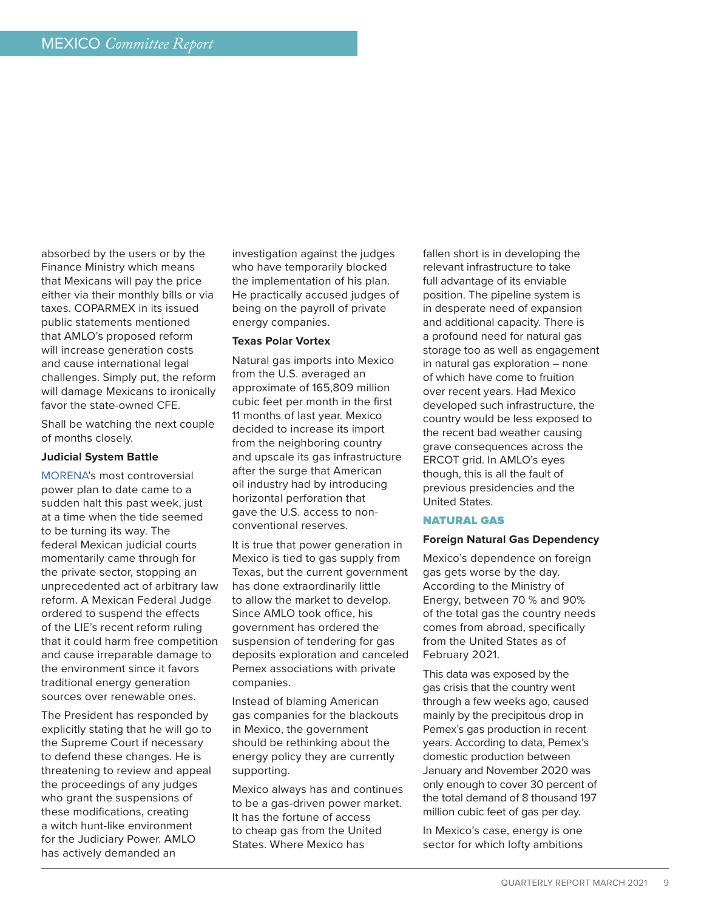absorbed by the users or by the Finance Ministry which means that Mexicans will pay the price either via their monthly bills or via taxes. COPARMEX in its issued public statements mentioned that AMLO's proposed reform will increase generation costs and cause international legal challenges. Simply put, the reform will damage Mexicans to ironically favor the state-owned CFE.

Shall be watching the next couple of months closely.

#### **Judicial System Battle**

[MORENA'](https://en.wikipedia.org/wiki/National_Regeneration_Movement)s most controversial power plan to date came to a sudden halt this past week, just at a time when the tide seemed to be turning its way. The federal Mexican judicial courts momentarily came through for the private sector, stopping an unprecedented act of arbitrary law reform. A Mexican Federal Judge ordered to suspend the effects of the LIE's recent reform ruling that it could harm free competition and cause irreparable damage to the environment since it favors traditional energy generation sources over renewable ones.

The President has responded by explicitly stating that he will go to the Supreme Court if necessary to defend these changes. He is threatening to review and appeal the proceedings of any judges who grant the suspensions of these modifications, creating a witch hunt-like environment for the Judiciary Power. AMLO has actively demanded an

investigation against the judges who have temporarily blocked the implementation of his plan. He practically accused judges of being on the payroll of private energy companies.

# **Texas Polar Vortex**

Natural gas imports into Mexico from the U.S. averaged an approximate of 165,809 million cubic feet per month in the first 11 months of last year. Mexico decided to increase its import from the neighboring country and upscale its gas infrastructure after the surge that American oil industry had by introducing horizontal perforation that gave the U.S. access to nonconventional reserves.

It is true that power generation in Mexico is tied to gas supply from Texas, but the current government has done extraordinarily little to allow the market to develop. Since AMLO took office, his government has ordered the suspension of tendering for gas deposits exploration and canceled Pemex associations with private companies.

Instead of blaming American gas companies for the blackouts in Mexico, the government should be rethinking about the energy policy they are currently supporting.

Mexico always has and continues to be a gas-driven power market. It has the fortune of access to cheap gas from the United States. Where Mexico has

fallen short is in developing the relevant infrastructure to take full advantage of its enviable position. The pipeline system is in desperate need of expansion and additional capacity. There is a profound need for natural gas storage too as well as engagement in natural gas exploration – none of which have come to fruition over recent years. Had Mexico developed such infrastructure, the country would be less exposed to the recent bad weather causing grave consequences across the ERCOT grid. In AMLO's eyes though, this is all the fault of previous presidencies and the United States.

#### NATURAL GAS

#### **Foreign Natural Gas Dependency**

Mexico's dependence on foreign gas gets worse by the day. According to the Ministry of Energy, between 70 % and 90% of the total gas the country needs comes from abroad, specifically from the United States as of February 2021.

This data was exposed by the gas crisis that the country went through a few weeks ago, caused mainly by the precipitous drop in Pemex's gas production in recent years. According to data, Pemex's domestic production between January and November 2020 was only enough to cover 30 percent of the total demand of 8 thousand 197 million cubic feet of gas per day.

In Mexico's case, energy is one sector for which lofty ambitions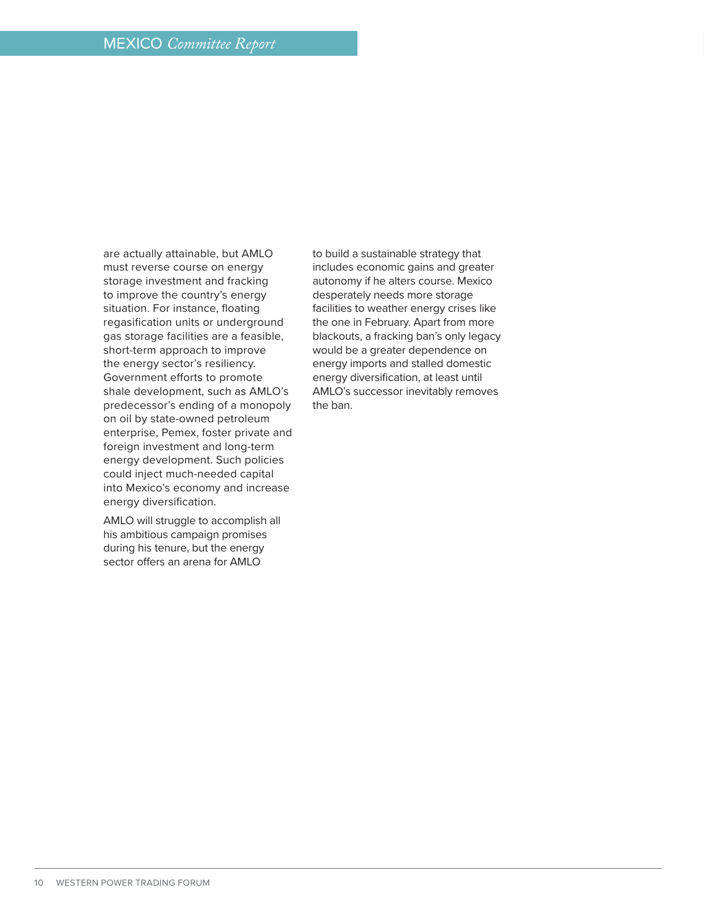are actually attainable, but AMLO must reverse course on energy storage investment and fracking to improve the country's energy situation. For instance, floating regasification units or underground gas storage facilities are a feasible, short-term approach to improve the energy sector's resiliency. Government efforts to promote shale development, such as AMLO's predecessor's ending of a monopoly on oil by state-owned petroleum enterprise, Pemex, foster private and foreign investment and long-term energy development. Such policies could inject much-needed capital into Mexico's economy and increase energy diversification.

AMLO will struggle to accomplish all his ambitious campaign promises during his tenure, but the energy sector offers an arena for AMLO

to build a sustainable strategy that includes economic gains and greater autonomy if he alters course. Mexico desperately needs more storage facilities to weather energy crises like the one in February. Apart from more blackouts, a fracking ban's only legacy would be a greater dependence on energy imports and stalled domestic energy diversification, at least until AMLO's successor inevitably removes the ban.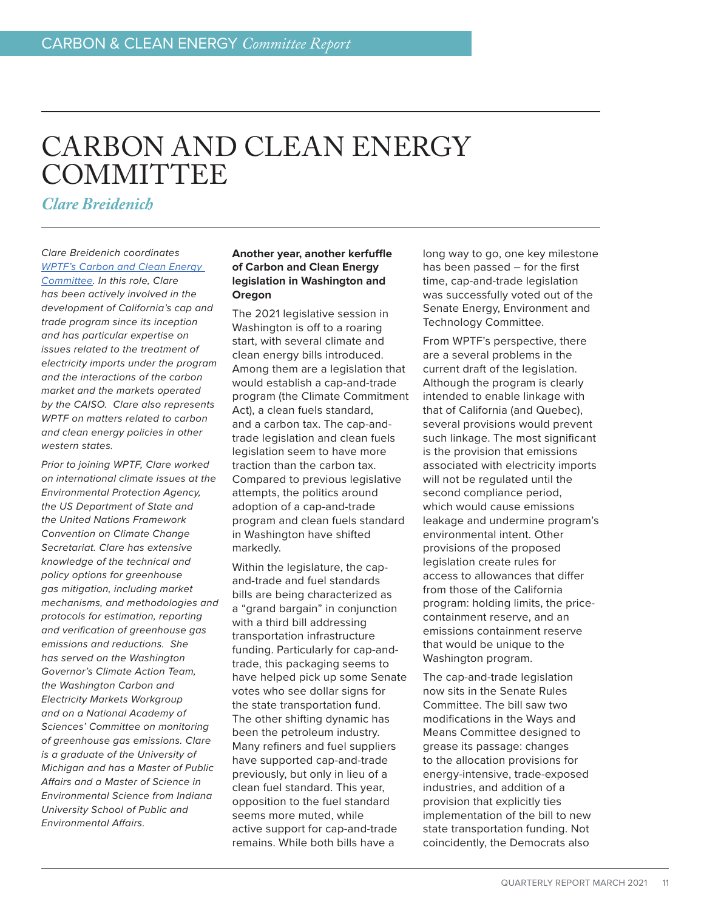# <span id="page-10-0"></span>CARBON AND CLEAN ENERGY **COMMITTEE**

*Clare Breidenich*

# *Clare Breidenich coordinates [WPTF's Carbon and Clean Energy](http://www.wptf.org/carbon)*

*[Committee.](http://www.wptf.org/carbon) In this role, Clare has been actively involved in the development of California's cap and trade program since its inception and has particular expertise on issues related to the treatment of electricity imports under the program and the interactions of the carbon market and the markets operated by the CAISO. Clare also represents WPTF on matters related to carbon and clean energy policies in other western states.*

*Prior to joining WPTF, Clare worked on international climate issues at the Environmental Protection Agency, the US Department of State and the United Nations Framework Convention on Climate Change Secretariat. Clare has extensive knowledge of the technical and policy options for greenhouse gas mitigation, including market mechanisms, and methodologies and protocols for estimation, reporting and verification of greenhouse gas emissions and reductions. She has served on the Washington Governor's Climate Action Team, the Washington Carbon and Electricity Markets Workgroup and on a National Academy of Sciences' Committee on monitoring of greenhouse gas emissions. Clare is a graduate of the University of Michigan and has a Master of Public Affairs and a Master of Science in Environmental Science from Indiana University School of Public and Environmental Affairs.* 

# **Another year, another kerfuffle of Carbon and Clean Energy legislation in Washington and Oregon**

The 2021 legislative session in Washington is off to a roaring start, with several climate and clean energy bills introduced. Among them are a legislation that would establish a cap-and-trade program (the Climate Commitment Act), a clean fuels standard, and a carbon tax. The cap-andtrade legislation and clean fuels legislation seem to have more traction than the carbon tax. Compared to previous legislative attempts, the politics around adoption of a cap-and-trade program and clean fuels standard in Washington have shifted markedly.

Within the legislature, the capand-trade and fuel standards bills are being characterized as a "grand bargain" in conjunction with a third bill addressing transportation infrastructure funding. Particularly for cap-andtrade, this packaging seems to have helped pick up some Senate votes who see dollar signs for the state transportation fund. The other shifting dynamic has been the petroleum industry. Many refiners and fuel suppliers have supported cap-and-trade previously, but only in lieu of a clean fuel standard. This year, opposition to the fuel standard seems more muted, while active support for cap-and-trade remains. While both bills have a

long way to go, one key milestone has been passed – for the first time, cap-and-trade legislation was successfully voted out of the Senate Energy, Environment and Technology Committee.

From WPTF's perspective, there are a several problems in the current draft of the legislation. Although the program is clearly intended to enable linkage with that of California (and Quebec), several provisions would prevent such linkage. The most significant is the provision that emissions associated with electricity imports will not be regulated until the second compliance period, which would cause emissions leakage and undermine program's environmental intent. Other provisions of the proposed legislation create rules for access to allowances that differ from those of the California program: holding limits, the pricecontainment reserve, and an emissions containment reserve that would be unique to the Washington program.

The cap-and-trade legislation now sits in the Senate Rules Committee. The bill saw two modifications in the Ways and Means Committee designed to grease its passage: changes to the allocation provisions for energy-intensive, trade-exposed industries, and addition of a provision that explicitly ties implementation of the bill to new state transportation funding. Not coincidently, the Democrats also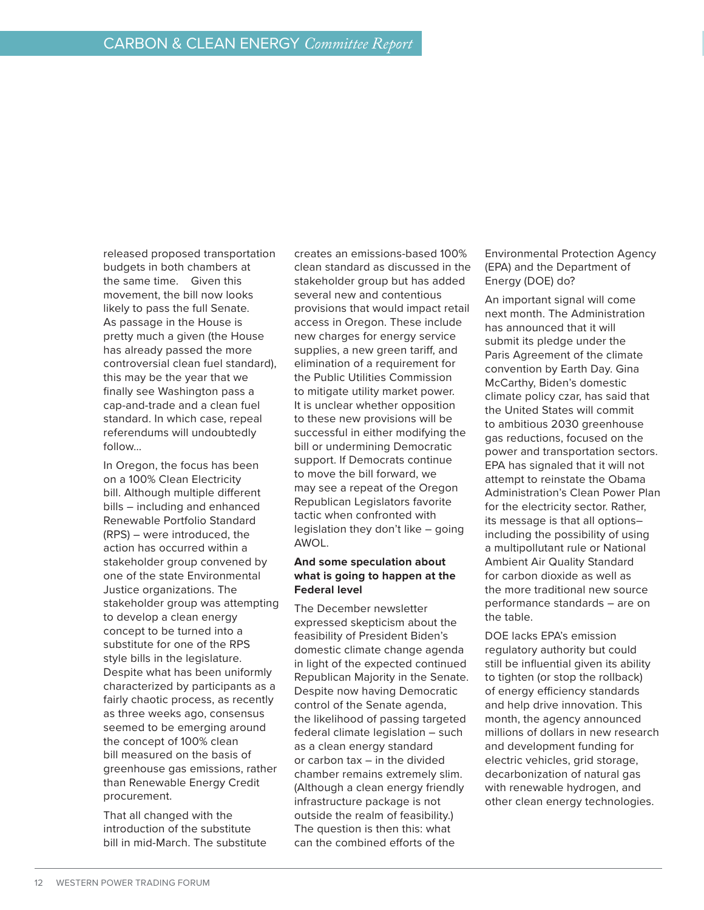released proposed transportation budgets in both chambers at the same time. Given this movement, the bill now looks likely to pass the full Senate. As passage in the House is pretty much a given (the House has already passed the more controversial clean fuel standard), this may be the year that we finally see Washington pass a cap-and-trade and a clean fuel standard. In which case, repeal referendums will undoubtedly follow…

In Oregon, the focus has been on a 100% Clean Electricity bill. Although multiple different bills – including and enhanced Renewable Portfolio Standard (RPS) – were introduced, the action has occurred within a stakeholder group convened by one of the state Environmental Justice organizations. The stakeholder group was attempting to develop a clean energy concept to be turned into a substitute for one of the RPS style bills in the legislature. Despite what has been uniformly characterized by participants as a fairly chaotic process, as recently as three weeks ago, consensus seemed to be emerging around the concept of 100% clean bill measured on the basis of greenhouse gas emissions, rather than Renewable Energy Credit procurement.

That all changed with the introduction of the substitute bill in mid-March. The substitute creates an emissions-based 100% clean standard as discussed in the stakeholder group but has added several new and contentious provisions that would impact retail access in Oregon. These include new charges for energy service supplies, a new green tariff, and elimination of a requirement for the Public Utilities Commission to mitigate utility market power. It is unclear whether opposition to these new provisions will be successful in either modifying the bill or undermining Democratic support. If Democrats continue to move the bill forward, we may see a repeat of the Oregon Republican Legislators favorite tactic when confronted with legislation they don't like – going AWOL.

# **And some speculation about what is going to happen at the Federal level**

The December newsletter expressed skepticism about the feasibility of President Biden's domestic climate change agenda in light of the expected continued Republican Majority in the Senate. Despite now having Democratic control of the Senate agenda, the likelihood of passing targeted federal climate legislation – such as a clean energy standard or carbon tax – in the divided chamber remains extremely slim. (Although a clean energy friendly infrastructure package is not outside the realm of feasibility.) The question is then this: what can the combined efforts of the

Environmental Protection Agency (EPA) and the Department of Energy (DOE) do?

An important signal will come next month. The Administration has announced that it will submit its pledge under the Paris Agreement of the climate convention by Earth Day. Gina McCarthy, Biden's domestic climate policy czar, has said that the United States will commit to ambitious 2030 greenhouse gas reductions, focused on the power and transportation sectors. EPA has signaled that it will not attempt to reinstate the Obama Administration's Clean Power Plan for the electricity sector. Rather, its message is that all options– including the possibility of using a multipollutant rule or National Ambient Air Quality Standard for carbon dioxide as well as the more traditional new source performance standards – are on the table.

DOE lacks EPA's emission regulatory authority but could still be influential given its ability to tighten (or stop the rollback) of energy efficiency standards and help drive innovation. This month, the agency announced millions of dollars in new research and development funding for electric vehicles, grid storage, decarbonization of natural gas with renewable hydrogen, and other clean energy technologies.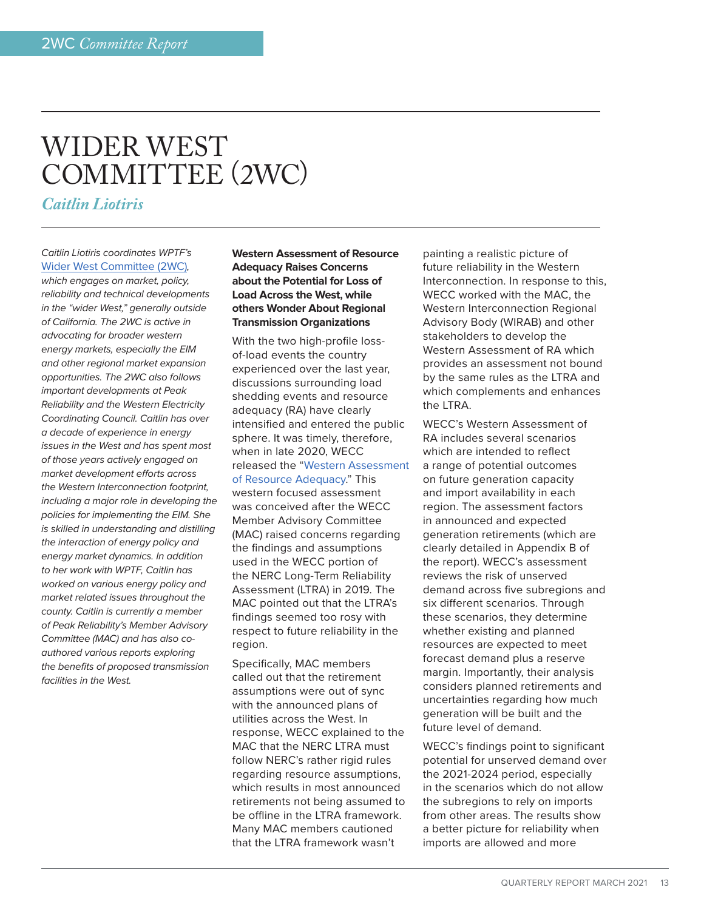# <span id="page-12-0"></span>WIDER WEST COMMITTEE (2WC)

*Caitlin Liotiris*

# *Caitlin Liotiris coordinates WPTF's*  [Wider West Committee \(2WC\)](http://wptf.org/wider-west)*,*

*which engages on market, policy, reliability and technical developments in the "wider West," generally outside of California. The 2WC is active in advocating for broader western energy markets, especially the EIM and other regional market expansion opportunities. The 2WC also follows important developments at Peak Reliability and the Western Electricity Coordinating Council. Caitlin has over a decade of experience in energy issues in the West and has spent most of those years actively engaged on market development efforts across the Western Interconnection footprint, including a major role in developing the policies for implementing the EIM. She is skilled in understanding and distilling the interaction of energy policy and energy market dynamics. In addition to her work with WPTF, Caitlin has worked on various energy policy and market related issues throughout the county. Caitlin is currently a member of Peak Reliability's Member Advisory Committee (MAC) and has also coauthored various reports exploring the benefits of proposed transmission facilities in the West.*

# **Western Assessment of Resource Adequacy Raises Concerns about the Potential for Loss of Load Across the West, while others Wonder About Regional Transmission Organizations**

With the two high-profile lossof-load events the country experienced over the last year, discussions surrounding load shedding events and resource adequacy (RA) have clearly intensified and entered the public sphere. It was timely, therefore, when in late 2020, WECC released the ["Western Assessment](https://www.wecc.org/_layouts/15/WopiFrame.aspx?sourcedoc=/Administrative/Western%20Assessment%20of%20Resource%20Adequacy%20Report%2012-18%20%28Final%29.pdf.pdf&action=default) [of Resource Adequacy.](https://www.wecc.org/_layouts/15/WopiFrame.aspx?sourcedoc=/Administrative/Western%20Assessment%20of%20Resource%20Adequacy%20Report%2012-18%20%28Final%29.pdf.pdf&action=default)" This western focused assessment was conceived after the WECC Member Advisory Committee (MAC) raised concerns regarding the findings and assumptions used in the WECC portion of the NERC Long-Term Reliability Assessment (LTRA) in 2019. The MAC pointed out that the LTRA's findings seemed too rosy with respect to future reliability in the region.

Specifically, MAC members called out that the retirement assumptions were out of sync with the announced plans of utilities across the West. In response, WECC explained to the MAC that the NERC LTRA must follow NERC's rather rigid rules regarding resource assumptions, which results in most announced retirements not being assumed to be offline in the LTRA framework. Many MAC members cautioned that the LTRA framework wasn't

painting a realistic picture of future reliability in the Western Interconnection. In response to this, WECC worked with the MAC, the Western Interconnection Regional Advisory Body (WIRAB) and other stakeholders to develop the Western Assessment of RA which provides an assessment not bound by the same rules as the LTRA and which complements and enhances the LTRA.

WECC's Western Assessment of RA includes several scenarios which are intended to reflect a range of potential outcomes on future generation capacity and import availability in each region. The assessment factors in announced and expected generation retirements (which are clearly detailed in Appendix B of the report). WECC's assessment reviews the risk of unserved demand across five subregions and six different scenarios. Through these scenarios, they determine whether existing and planned resources are expected to meet forecast demand plus a reserve margin. Importantly, their analysis considers planned retirements and uncertainties regarding how much generation will be built and the future level of demand.

WECC's findings point to significant potential for unserved demand over the 2021-2024 period, especially in the scenarios which do not allow the subregions to rely on imports from other areas. The results show a better picture for reliability when imports are allowed and more